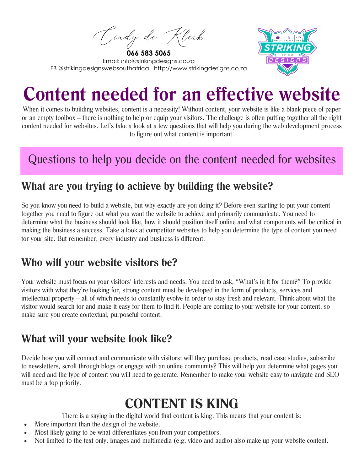Vindy de Klerk

**066 583 5065** Email: info@strikingdesigns.co.za FB @strikingdesignswebsouthafrica http://www.strikingdesigns.co.za



# **Content needed for an effective website**

When it comes to building websites, content is a necessity! Without content, your website is like a blank piece of paper or an empty toolbox – there is nothing to help or equip your visitors. The challenge is often putting together all the right content needed for websites. Let's take a look at a few questions that will help you during the web development process to figure out what content is important.

### Questions to help you decide on the content needed for websites

### **What are you trying to achieve by building the website?**

So you know you need to build a website, but why exactly are you doing it? Before even starting to put your content together you need to figure out what you want the website to achieve and primarily communicate. You need to determine what the business should look like, how it should position itself online and what components will be critical in making the business a success. Take a look at competitor websites to help you determine the type of content you need for your site. But remember, every industry and business is different.

#### **Who will your website visitors be?**

Your website must focus on your visitors' interests and needs. You need to ask, "What's in it for them?" To provide visitors with what they're looking for, strong content must be developed in the form of products, services and intellectual property – all of which needs to constantly evolve in order to stay fresh and relevant. Think about what the visitor would search for and make it easy for them to find it. People are coming to your website for your content, so make sure you create contextual, purposeful content.

### **What will your website look like?**

Decide how you will connect and communicate with visitors: will they purchase products, read case studies, subscribe to newsletters, scroll through blogs or engage with an online community? This will help you determine what pages you will need and the type of content you will need to generate. Remember to make your website easy to navigate and SEO must be a top priority.

## **CONTENT IS KING**

There is a saying in the digital world that content is king. This means that your content is:

- More important than the design of the website.
- Most likely going to be what differentiates you from your competitors.
- Not limited to the text only. Images and multimedia (e.g. video and audio) also make up your website content.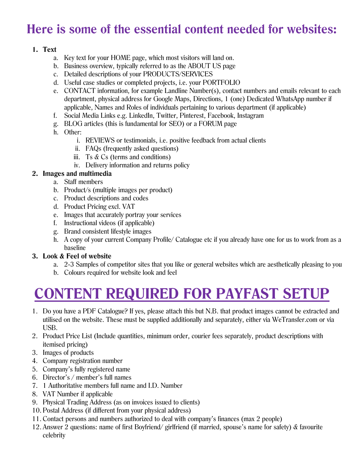## **Here is some of the essential content needed for websites:**

#### **1. Text**

- a. Key text for your HOME page, which most visitors will land on.
- b. Business overview, typically referred to as the ABOUT US page
- c. Detailed descriptions of your PRODUCTS/SERVICES
- d. Useful case studies or completed projects, i.e. your PORTFOLIO
- e. CONTACT information, for example Landline Number(s), contact numbers and emails relevant to each department, physical address for Google Maps, Directions, 1 (one) Dedicated WhatsApp number if applicable, Names and Roles of individuals pertaining to various department (if applicable)
- f. Social Media Links e.g. LinkedIn, Twitter, Pinterest, Facebook, Instagram
- g. BLOG articles (this is fundamental for SEO) or a FORUM page
- h. Other:
	- i. REVIEWS or testimonials, i.e. positive feedback from actual clients
	- ii. FAQs (frequently asked questions)
	- iii. Ts  $\&$  Cs (terms and conditions)
	- iv. Delivery information and returns policy

#### **2. Images and multimedia**

- a. Staff members
- b. Product/s (multiple images per product)
- c. Product descriptions and codes
- d. Product Pricing excl. VAT
- e. Images that accurately portray your services
- f. Instructional videos (if applicable)
- g. Brand consistent lifestyle images
- h. A copy of your current Company Profile/ Catalogue etc if you already have one for us to work from as a baseline

#### **3. Look & Feel of website**

- a. 2-3 Samples of competitor sites that you like or general websites which are aesthetically pleasing to you
- b. Colours required for website look and feel

# **CONTENT REQUIRED FOR PAYFAST SETUP**

- 1. Do you have a PDF Catalogue? If yes, please attach this but N.B. that product images cannot be extracted and utilised on the website. These must be supplied additionally and separately, either via WeTransfer.com or via USB.
- 2. Product Price List (Include quantities, minimum order, courier fees separately, product descriptions with itemised pricing)
- 3. Images of products
- 4. Company registration number
- 5. Company's fully registered name
- 6. Director's / member's full names
- 7. 1 Authoritative members full name and I.D. Number
- 8. VAT Number if applicable
- 9. Physical Trading Address (as on invoices issued to clients)
- 10. Postal Address (if different from your physical address)
- 11. Contact persons and numbers authorized to deal with company's finances (max 2 people)
- 12. Answer 2 questions: name of first Boyfriend/ girlfriend (if married, spouse's name for safety) & favourite celebrity